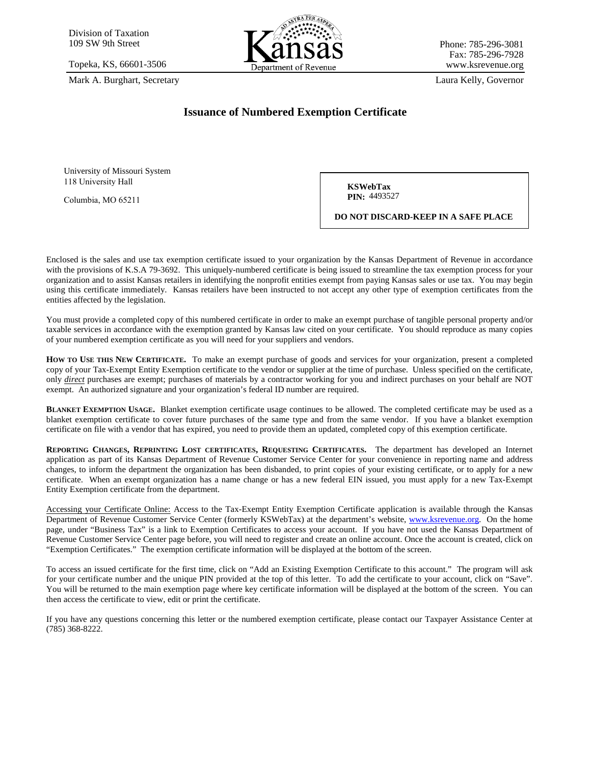

### **Issuance of Numbered Exemption Certificate**

**KSWebTax PIN: 4493527** 

**DO NOT DISCARD-KEEP IN A SAFE PLACE**

Enclosed is the sales and use tax exemption certificate issued to your organization by the Kansas Department of Revenue in accordance with the provisions of K.S.A 79-3692. This uniquely-numbered certificate is being issued to streamline the tax exemption process for your organization and to assist Kansas retailers in identifying the nonprofit entities exempt from paying Kansas sales or use tax. You may begin using this certificate immediately. Kansas retailers have been instructed to not accept any other type of exemption certificates from the entities affected by the legislation.

You must provide a completed copy of this numbered certificate in order to make an exempt purchase of tangible personal property and/or taxable services in accordance with the exemption granted by Kansas law cited on your certificate. You should reproduce as many copies of your numbered exemption certificate as you will need for your suppliers and vendors.

**HOW TO USE THIS NEW CERTIFICATE.** To make an exempt purchase of goods and services for your organization, present a completed copy of your Tax-Exempt Entity Exemption certificate to the vendor or supplier at the time of purchase. Unless specified on the certificate, only *direct* purchases are exempt; purchases of materials by a contractor working for you and indirect purchases on your behalf are NOT exempt. An authorized signature and your organization's federal ID number are required.

**BLANKET EXEMPTION USAGE.** Blanket exemption certificate usage continues to be allowed. The completed certificate may be used as a blanket exemption certificate to cover future purchases of the same type and from the same vendor. If you have a blanket exemption certificate on file with a vendor that has expired, you need to provide them an updated, completed copy of this exemption certificate.

**REPORTING CHANGES, REPRINTING LOST CERTIFICATES, REQUESTING CERTIFICATES.** The department has developed an Internet application as part of its Kansas Department of Revenue Customer Service Center for your convenience in reporting name and address changes, to inform the department the organization has been disbanded, to print copies of your existing certificate, or to apply for a new certificate. When an exempt organization has a name change or has a new federal EIN issued, you must apply for a new Tax-Exempt Entity Exemption certificate from the department.

Accessing your Certificate Online: Access to the Tax-Exempt Entity Exemption Certificate application is available through the Kansas Department of Revenue Customer Service Center (formerly KSWebTax) at the department's website, [www.ksrevenue.org.](http://www.ksrevenue.org/) On the home page, under "Business Tax" is a link to Exemption Certificates to access your account. If you have not used the Kansas Department of Revenue Customer Service Center page before, you will need to register and create an online account. Once the account is created, click on "Exemption Certificates." The exemption certificate information will be displayed at the bottom of the screen.

To access an issued certificate for the first time, click on "Add an Existing Exemption Certificate to this account." The program will ask for your certificate number and the unique PIN provided at the top of this letter. To add the certificate to your account, click on "Save". You will be returned to the main exemption page where key certificate information will be displayed at the bottom of the screen. You can then access the certificate to view, edit or print the certificate.

If you have any questions concerning this letter or the numbered exemption certificate, please contact our Taxpayer Assistance Center at (785) 368-8222.